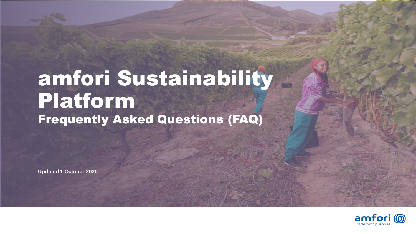### amfori Sustainability Platform Frequently Asked Questions (FAQ)

**Updated 1 October 2020**

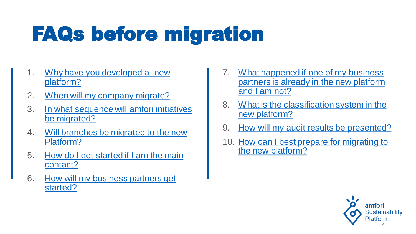- 1. Why have you developed a new platform?
- 2. [When will my company migrate?](#page-3-0)
- 3. [In what sequence will amfori initiatives](#page-4-0)  be migrated?
- 4. [Will branches be migrated to the new](#page-4-0)  Platform?
- 5. How do I get started if I am the main contact?
- 6. How will my business partners get started?
- 7. What happened if one of my business [partners is already in the new platform](#page-9-0)  and I am not?
- 8. [What is the classification system in the](#page-10-0)  new platform?
- 9. [How will my audit results be presented?](#page-11-0)
- 10. How can I best prepare for migrating to the new platform?

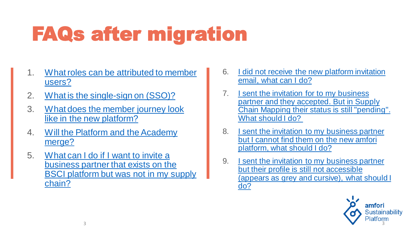- 1. [What roles can be attributed to member](#page-13-0)  users?
- 2. [What is the single-sign on \(SSO\)?](#page-14-0)
- 3. [What does the member journey look](#page-15-0)  like in the new platform?
- 4. [Will the Platform and the Academy](#page-16-0)  merge?
- 5. What can I do if I want to invite a business partner that exists on the [BSCI platform but was not in my supply](#page-16-0)  chain?
- 6. [I did not receive the new platform invitation](#page-17-0)  email, what can I do?
- 7. **I sent the invitation for to my business** partner and they accepted. But in Supply [Chain Mapping their status is still "pending".](#page-18-0)  What should I do?
- 8. I sent the invitation to my business partner [but I cannot find them on the new amfori](#page-20-0)  platform, what should I do?
- 9. **J** sent the invitation to my business partner but their profile is still not accessible [\(appears as grey and cursive\), what should I](#page-20-0)  do?

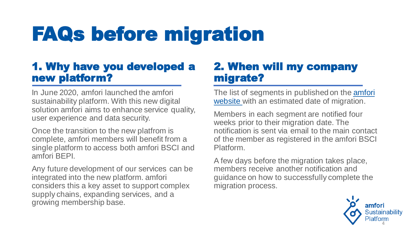### 1. Why have you developed a new platform?

In June 2020, amfori launched the amfori sustainability platform. With this new digital solution amfori aims to enhance service quality, user experience and data security.

Once the transition to the new platfrom is complete, amfori members will benefit from a single platform to access both amfori BSCI and amfori BEPI.

<span id="page-3-0"></span>Any future development of our services can be integrated into the new platform. amfori considers this a key asset to support complex supply chains, expanding services, and a growing membership base.

#### 2. When will my company migrate?

The list of segments in published on the *amfori* website with an estimated date of migration.

Members in each segment are notified four weeks prior to their migration date. The notification is sent via email to the main contact of the member as registered in the amfori BSCI Platform.

A few days before the migration takes place, members receive another notification and guidance on how to successfully complete the migration process.

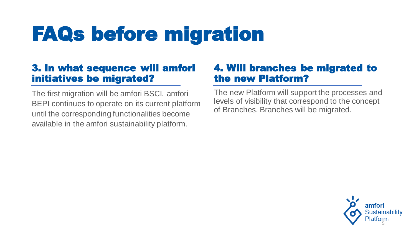#### 3. In what sequence will amfori initiatives be migrated?

<span id="page-4-0"></span>The first migration will be amfori BSCI. amfori BEPI continues to operate on its current platform until the corresponding functionalities become available in the amfori sustainability platform.

#### 4. Will branches be migrated to the new Platform?

The new Platform will support the processes and levels of visibility that correspond to the concept of Branches. Branches will be migrated.

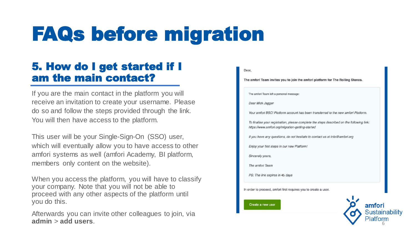#### 5. How do I get started if I am the main contact?

If you are the main contact in the platform you will receive an invitation to create your username. Please do so and follow the steps provided through the link. You will then have access to the platform.

This user will be your Single-Sign-On (SSO) user, which will eventually allow you to have access to other amfori systems as well (amfori Academy, BI platform, members only content on the website).

When you access the platform, you will have to classify your company. Note that you will not be able to proceed with any other aspects of the platform until you do this.

<span id="page-5-0"></span>Afterwards you can invite other colleagues to join, via **admin** > **add users**.

#### Dear, The amfori Team invites you to join the amfori platform for The Rolling Stones. The amfori Team left a personal message Dear Mick Jagger Your amfori BSCI Platform account has been transferred to the new amfori Platform To finalise your registration, please complete the steps described on the following link: https://www.amfori.org/migration-getting-started If you have any questions, do not hesitate to contact us at info@amfori.org Enjoy your first steps in our new Platform! Sincerely yours, The amfori Team PS: The link expires in 45 days In order to proceed, amfori first requires you to create a user. Create a new user amfori Sustainability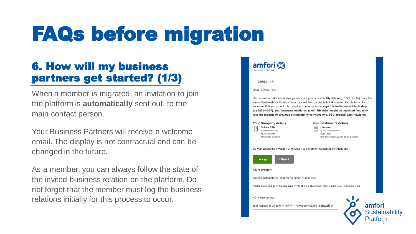### 6. How will my business partners get started? (1/3)

When a member is migrated, an invitation to join the platform is **automatically** sent out, to the main contact person.

Your Business Partners will receive a welcome email. The display is not contractual and can be changed in the future.

<span id="page-6-0"></span>As a member, you can always follow the state of the invited business relation on the platform. Do not forget that the member must log the business relations initially for this process to occur.

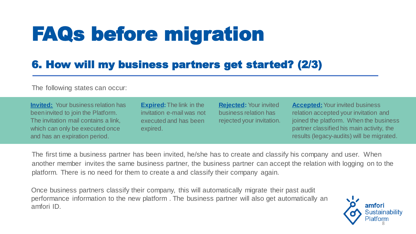### 6. How will my business partners get started? (2/3)

The following states can occur:

**Invited:** Your business relation has been invited to join the Platform. The invitation mail contains a link, which can only be executed once and has an expiration period.

**Expired:**The link in the invitation e-mail was not executed and has been expired.

**Rejected:** Your invited business relation has rejected your invitation.

**Accepted:**Your invited business relation accepted your invitation and joined the platform. When the business partner classified his main activity, the results (legacy-audits) will be migrated.

The first time a business partner has been invited, he/she has to create and classify his company and user. When another member invites the same business partner, the business partner can accept the relation with logging on to the platform. There is no need for them to create a and classify their company again.

Once business partners classify their company, this will automatically migrate their past audit performance information to the new platform . The business partner will also get automatically an amfori ID.

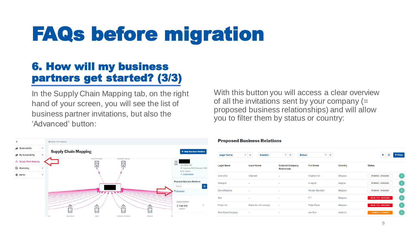### 6. How will my business partners get started? (3/3)

In the Supply Chain Mapping tab, on the right hand of your screen, you will see the list of business partner invitations, but also the 'Advanced' button:

With this button you will access a clear overview of all the invitations sent by your company  $(=$ proposed business relationships) and will allow you to filter them by status or country:



#### **Proposed Business Relations**

| <b>Legal Name:</b> | $\times$<br>Country:<br>٠ | $\times$<br>٠                                | <b>Status:</b><br>$\times$<br>٠ |         | ٠<br><b>T</b> Filter<br>c         |
|--------------------|---------------------------|----------------------------------------------|---------------------------------|---------|-----------------------------------|
| <b>Legal Name</b>  | <b>Local Name</b>         | <b>External Company</b><br><b>References</b> | <b>Full Name</b>                | Country | <b>Status</b>                     |
| Cote d'Or          | Oliphant                  | $\sim$                                       | Elephant Or                     | Belgium | PENDING - 09/22/2020<br>÷         |
| <b>ToReject</b>    | $\sim$                    | $\blacksquare$                               | to reject                       | Angola  | ÷<br>PENDING - 09/22/2020         |
| DemoRelation       | $\overline{\phantom{a}}$  | $\overline{\phantom{a}}$                     | <b>Wouter Bancken</b>           | Belgium | ÷<br>PENDING - 09/22/2020         |
| <b>Test</b>        | ٠                         | ٠                                            | TΤ                              | Belgium | <b>REJECTED - 03/17/2020</b><br>÷ |
| Popla Inc.         | Popla Inc (To accept)     | $\overline{\phantom{a}}$                     | Patje Popla                     | Belgium | ÷<br><b>REJECTED - 03/17/2020</b> |
| TeamSyncCompany    | ٠                         | $\sim$                                       | <b>Jos Bos</b>                  | Andorra | ÷<br><b>EXPIRED - 07/30/2018</b>  |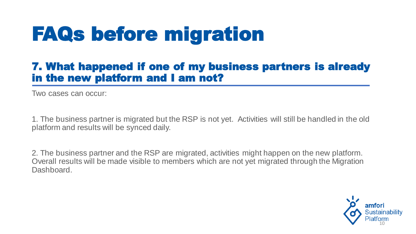#### 7. What happened if one of my business partners is already in the new platform and I am not?

Two cases can occur:

1. The business partner is migrated but the RSP is not yet. Activities will still be handled in the old platform and results will be synced daily.

<span id="page-9-0"></span>2. The business partner and the RSP are migrated, activities might happen on the new platform. Overall results will be made visible to members which are not yet migrated through the Migration Dashboard.

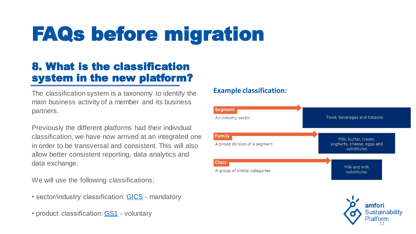### 8. What is the classification system in the new platform?

The classification system is a taxonomy to identify the main business activity of a member and its business partners.

Previously the different platforms had their individual classification, we have now arrived at an integrated one in order to be transversal and consistent. This will also allow better consistent reporting, data analytics and data exchange.

We will use the following classifications:

- sector/industry classification: **GICS** mandatory
- <span id="page-10-0"></span>• product classification: [GS1](https://www.gs1.org/standards/gpc/how-gpc-works) - voluntary

#### **Example classification:**



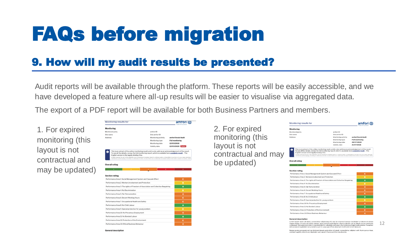### 9. How will my audit results be presented?

Audit reports will be available through the platform. These reports will be easily accessible, and we have developed a feature where all-up results will be easier to visualise via aggregated data.

The export of a PDF report will be available for both Business Partners and members.

amtori ((0)

<span id="page-11-0"></span>1. For expired monitoring (this layout is not contractual and may be updated)

| <b>Monitoring</b>                                                                                                                                                                                                                                                                                                                                                                                                                                                                                                                                                                                        |                     |                       |  |  |
|----------------------------------------------------------------------------------------------------------------------------------------------------------------------------------------------------------------------------------------------------------------------------------------------------------------------------------------------------------------------------------------------------------------------------------------------------------------------------------------------------------------------------------------------------------------------------------------------------------|---------------------|-----------------------|--|--|
| Monitored party                                                                                                                                                                                                                                                                                                                                                                                                                                                                                                                                                                                          | amfori ID           |                       |  |  |
| Site name                                                                                                                                                                                                                                                                                                                                                                                                                                                                                                                                                                                                | Site amfori ID      |                       |  |  |
| <b>Address</b>                                                                                                                                                                                                                                                                                                                                                                                                                                                                                                                                                                                           | Monitoring activity | : amfori Social Audit |  |  |
|                                                                                                                                                                                                                                                                                                                                                                                                                                                                                                                                                                                                          | Monitoring type     | : Full monitoring     |  |  |
|                                                                                                                                                                                                                                                                                                                                                                                                                                                                                                                                                                                                          | Monitoring date     | :12/03/2018           |  |  |
|                                                                                                                                                                                                                                                                                                                                                                                                                                                                                                                                                                                                          | Validity date       | :12/03/2020 Expired   |  |  |
| This is an extract of the online monitoring result, and is only valid as an acknowledgement of the result.<br>υ<br>To see all the details, review the full monitoring report, which is available here complete result. - The<br>English version is the legally binding One.<br>Af rights reserved. No part of this publication may be reproduced, translated, stored in a rebrieval system, or transmitted, in any form or by any means electronic,<br>mechanical, photocopying, recording or otherwise, be leat, re-cold, hired out or otherwise circulated without the amfori consect. @ amfori. 2020. |                     |                       |  |  |
| <b>Overall rating</b>                                                                                                                                                                                                                                                                                                                                                                                                                                                                                                                                                                                    |                     |                       |  |  |
| $\mathbf{B}$<br>٠                                                                                                                                                                                                                                                                                                                                                                                                                                                                                                                                                                                        | b<br>c.             | E.                    |  |  |
|                                                                                                                                                                                                                                                                                                                                                                                                                                                                                                                                                                                                          |                     |                       |  |  |
|                                                                                                                                                                                                                                                                                                                                                                                                                                                                                                                                                                                                          |                     |                       |  |  |
|                                                                                                                                                                                                                                                                                                                                                                                                                                                                                                                                                                                                          |                     |                       |  |  |
| <b>Section rating</b>                                                                                                                                                                                                                                                                                                                                                                                                                                                                                                                                                                                    |                     |                       |  |  |
| Performance Area 1: Social Management System and Cascade Effect                                                                                                                                                                                                                                                                                                                                                                                                                                                                                                                                          |                     | с                     |  |  |
| Performance Area 2: Workers involvement and Protection                                                                                                                                                                                                                                                                                                                                                                                                                                                                                                                                                   |                     | R                     |  |  |
| Performance Area 3: The rights of Freedom of Association and Collective Bargaining                                                                                                                                                                                                                                                                                                                                                                                                                                                                                                                       |                     | A                     |  |  |
| Performance Area 4: No Discrimination                                                                                                                                                                                                                                                                                                                                                                                                                                                                                                                                                                    |                     | B                     |  |  |
| Performance Area 5: Fair Remuneration                                                                                                                                                                                                                                                                                                                                                                                                                                                                                                                                                                    |                     | c                     |  |  |
| Performance Area 6: Decent Working Hours                                                                                                                                                                                                                                                                                                                                                                                                                                                                                                                                                                 |                     | c                     |  |  |
| Performance Area 7: Occupational Health and Safety                                                                                                                                                                                                                                                                                                                                                                                                                                                                                                                                                       |                     | c                     |  |  |
| Performance Area 8: No Child Labour                                                                                                                                                                                                                                                                                                                                                                                                                                                                                                                                                                      |                     | A                     |  |  |
| Performance Area 9: Special protection for young workers                                                                                                                                                                                                                                                                                                                                                                                                                                                                                                                                                 |                     | R                     |  |  |
| Performance Area 10: No Precarious Employment                                                                                                                                                                                                                                                                                                                                                                                                                                                                                                                                                            |                     | c                     |  |  |
| Performance Area 11: No Bonded Labour                                                                                                                                                                                                                                                                                                                                                                                                                                                                                                                                                                    |                     | A                     |  |  |
| Performance Area 12: Protection of the Environment                                                                                                                                                                                                                                                                                                                                                                                                                                                                                                                                                       |                     | c                     |  |  |

2. For expired monitoring (this layout is not contractual and ma be updated)

| <b>Monitoring</b>                                                                        |                |                     |                       |   |
|------------------------------------------------------------------------------------------|----------------|---------------------|-----------------------|---|
| Monitored party                                                                          | amfori ID      |                     |                       |   |
| Site name                                                                                | Site amfori ID |                     |                       |   |
| <b>Address</b>                                                                           |                | Monitoring activity | : amfori Social Audit |   |
|                                                                                          |                | Monitoring type     | : Full monitoring     |   |
|                                                                                          |                | Monitoring date     | : 22/07/2020          |   |
|                                                                                          | Validity date  |                     | :21/07/2021           |   |
| <b>Overall rating</b>                                                                    |                |                     |                       |   |
| $\blacktriangle$<br>$\mathbf{H}$                                                         |                | $\mathbf{D}$        |                       | × |
| <b>Section rating</b><br>Performance Area 1: Social Management System and Cascade Effect |                |                     |                       | c |
| Performance Area 2: Workers involvement and Protection                                   |                |                     |                       | R |
| Performance Area 3: The rights of Freedom of Association and Collective Bargaining       |                |                     |                       | A |
| Performance Area 4: No Discrimination                                                    |                |                     |                       | в |
| Performance Area 5: Fair Remuneration                                                    |                |                     |                       | c |
| Performance Area 6: Decent Working Hours                                                 |                |                     |                       | ċ |
| Performance Area 7: Occupational Health and Safety                                       |                |                     |                       | c |
| Performance Area 8: No Child Labour                                                      |                |                     |                       | A |
| Performance Area 9: Special protection for young workers                                 |                |                     |                       | R |
| Performance Area 10: No Precarious Employment                                            |                |                     |                       | c |
| Performance Area 11: No Bonded Labour                                                    |                |                     |                       | A |

#### **General description**

Lorem ipsum dolor sit amet, consectetur adipisicing elit, sed do eiusmod tempor incididunt ut labore et dolore<br>magna aliqua. Ut enim ad minim veniam, quis nostrud exercitation ullamco laboris nisi ut aliquip ex ea commodo<br> int occaecat cupidatat non proident, sunt in culpa qui officia deserunt mollit anim id est laborum

12

.<br>Neque porro quisquam est qui dolorem ipsum quia dolor sit amet, consectetur, adipisci velit. Nunc purus risus, volutpat sagittis, lobortis at, dignissim sed, sapien. Fusce porttitor jaculis ante

Monitoring results for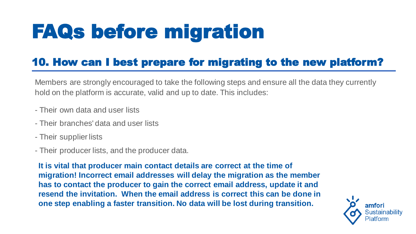### 10. How can I best prepare for migrating to the new platform?

Members are strongly encouraged to take the following steps and ensure all the data they currently hold on the platform is accurate, valid and up to date. This includes:

- Their own data and user lists
- Their branches' data and user lists
- Their supplier lists
- Their producer lists, and the producer data.

<span id="page-12-0"></span>**It is vital that producer main contact details are correct at the time of migration! Incorrect email addresses will delay the migration as the member has to contact the producer to gain the correct email address, update it and resend the invitation. When the email address is correct this can be done in one step enabling a faster transition. No data will be lost during transition.**

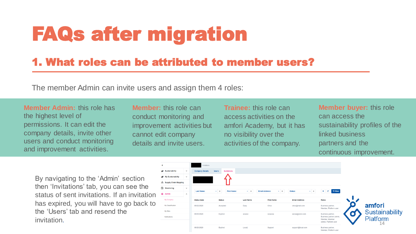### 1. What roles can be attributed to member users?

The member Admin can invite users and assign them 4 roles:

**Member Admin:** this role has the highest level of permissions. It can edit the company details, invite other users and conduct monitoring and improvement activities.

**Member:** this role can conduct monitoring and improvement activities but cannot edit company details and invite users.

**Trainee:** this role can access activities on the amfori Academy, but it has no visibility over the activities of the company.

<span id="page-13-0"></span>By navigating to the 'Admin' section then 'Invitations' tab, you can see the status of sent invitations. If an invitation has expired, you will have to go back to the 'Users' tab and resend the invitation.



**Member buyer:** this role can access the sustainability profiles of the linked business partners and the continuous improvement.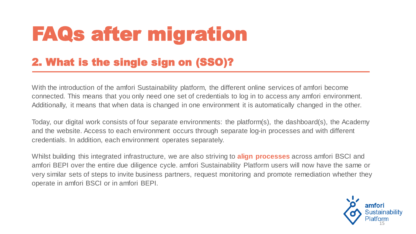### 2. What is the single sign on (SSO)?

With the introduction of the amfori Sustainability platform, the different online services of amfori become connected. This means that you only need one set of credentials to log in to access any amfori environment. Additionally, it means that when data is changed in one environment it is automatically changed in the other.

Today, our digital work consists of four separate environments: the platform(s), the dashboard(s), the Academy and the website. Access to each environment occurs through separate log-in processes and with different credentials. In addition, each environment operates separately.

<span id="page-14-0"></span>Whilst building this integrated infrastructure, we are also striving to **align processes** across amfori BSCI and amfori BEPI over the entire due diligence cycle. amfori Sustainability Platform users will now have the same or very similar sets of steps to invite business partners, request monitoring and promote remediation whether they operate in amfori BSCI or in amfori BEPI.

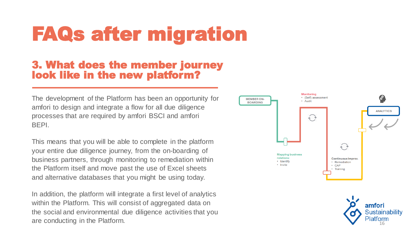#### 3. What does the member journey look like in the new platform?

The development of the Platform has been an opportunity for amfori to design and integrate a flow for all due diligence processes that are required by amfori BSCI and amfori BEPI.

This means that you will be able to complete in the platform your entire due diligence journey, from the on-boarding of business partners, through monitoring to remediation within the Platform itself and move past the use of Excel sheets and alternative databases that you might be using today.

<span id="page-15-0"></span>In addition, the platform will integrate a first level of analytics within the Platform. This will consist of aggregated data on the social and environmental due diligence activities that you are conducting in the Platform.  $\blacksquare$ 



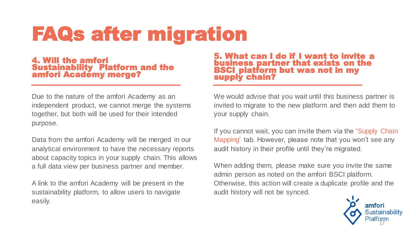#### 4. Will the amfori Sustainability Platform and the amfori Academy merge?

Due to the nature of the amfori Academy as an independent product, we cannot merge the systems together, but both will be used for their intended purpose.

Data from the amfori Academy will be merged in our analytical environment to have the necessary reports about capacity topics in your supply chain. This allows a full data view per business partner and member.

<span id="page-16-0"></span>A link to the amfori Academy will be present in the sustainability platform, to allow users to navigate easily.

5. What can I do if I want to invite a business partner that exists on the BSCI platform but was not in my supply chain?

We would advise that you wait until this business partner is invited to migrate to the new platform and then add them to your supply chain.

If you cannot wait, you can invite them via the 'Supply Chain Mapping' tab. However, please note that you won't see any audit history in their profile until they're migrated.

When adding them, please make sure you invite the same admin person as noted on the amfori BSCI platform. Otherwise, this action will create a duplicate profile and the audit history will not be synced.

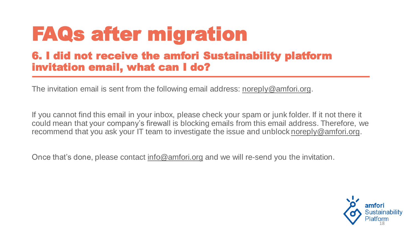### 6. I did not receive the amfori Sustainability platform invitation email, what can I do?

The invitation email is sent from the following email address: [noreply@amfori.org](mailto:noreply@amfori.org).

If you cannot find this email in your inbox, please check your spam or junk folder. If it not there it could mean that your company's firewall is blocking emails from this email address. Therefore, we recommend that you ask your IT team to investigate the issue and unblock [noreply@amfori.org.](mailto:noreply@amfori.org)

<span id="page-17-0"></span>Once that's done, please contact [info@amfori.org](mailto:info@amfori.org) and we will re-send you the invitation.

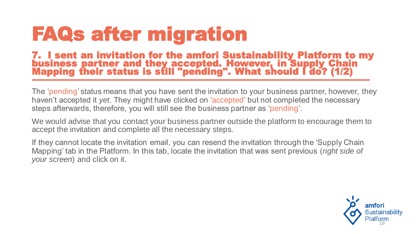#### 7. I sent an invitation for the amfori Sustainability Platform to my business partner and they accepted. However, in Supply Chain Mapping their status is still "pending". What should I do? (1/2)

The 'pending' status means that you have sent the invitation to your business partner, however, they haven't accepted it *yet*. They might have clicked on 'accepted' but not completed the necessary steps afterwards, therefore, you will still see the business partner as 'pending'.

We would advise that you contact your business partner outside the platform to encourage them to accept the invitation and complete all the necessary steps.

<span id="page-18-0"></span>If they cannot locate the invitation email, you can resend the invitation through the 'Supply Chain Mapping' tab in the Platform. In this tab, locate the invitation that was sent previous (*right side of your screen*) and click on it.

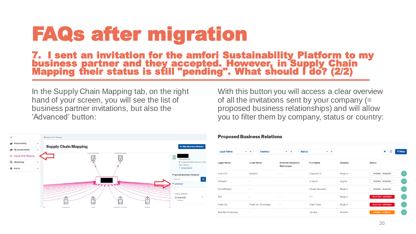#### 7. I sent an invitation for the amfori Sustainability Platform to my business partner and they accepted. However, in Supply Chain Mapping their status is still "pending". What should I do? (2/2)

In the Supply Chain Mapping tab, on the right hand of your screen, you will see the list of business partner invitations, but also the 'Advanced' button:

With this button you will access a clear overview of all the invitations sent by your company (= proposed business relationships) and will allow you to filter them by company, status or country:



#### **Proposed Business Relations**

| <b>Legal Name:</b>  | <b>Country:</b><br>$\times$<br>٠ | ×<br>٠                                       | <b>Status:</b><br>$\times$<br>٠ |         | ÷<br>$T$ Filter<br>c               |
|---------------------|----------------------------------|----------------------------------------------|---------------------------------|---------|------------------------------------|
| <b>Legal Name</b>   | <b>Local Name</b>                | <b>External Company</b><br><b>References</b> | <b>Full Name</b>                | Country | <b>Status</b>                      |
| Cote d'Or           | Oliphant                         | ٠                                            | Elephant Or                     | Belgium | PENDING - 09/22/2020<br>÷.         |
| <b>ToReject</b>     | $\sim$                           | ٠                                            | to reject                       | Angola  | PENDING - 09/22/2020<br>÷          |
| <b>DemoRelation</b> | $\overline{\phantom{a}}$         | $\overline{\phantom{a}}$                     | <b>Wouter Bancken</b>           | Belgium | PENDING - 09/22/2020<br>- 1        |
| Test                | $\overline{\phantom{a}}$         | $\sim$                                       | <b>TT</b>                       | Belgium | <b>REJECTED - 03/17/2020</b><br>÷  |
| Popla Inc.          | Popla Inc (To accept)            | $\overline{\phantom{a}}$                     | Patje Popla                     | Belgium | ÷<br><b>REJECTED - 03/17/2020</b>  |
| TeamSyncCompany     | $\blacksquare$                   | $\blacksquare$                               | Jos Bos                         | Andorra | <b>EXPIRED - 07/30/2018</b><br>- 1 |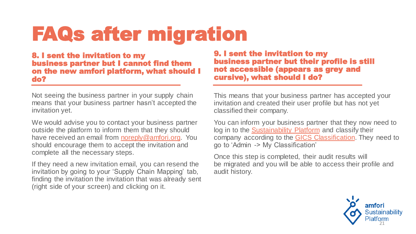8. I sent the invitation to my business partner but I cannot find them on the new amfori platform, what should I do?

Not seeing the business partner in your supply chain means that your business partner hasn't accepted the invitation yet.

We would advise you to contact your business partner outside the platform to inform them that they should have received an email from [noreply@amfori.org.](mailto:noreply@amfori.org) You should encourage them to accept the invitation and complete all the necessary steps.

<span id="page-20-0"></span>If they need a new invitation email, you can resend the invitation by going to your 'Supply Chain Mapping' tab, finding the invitation the invitation that was already sent (right side of your screen) and clicking on it.

9. I sent the invitation to my business partner but their profile is still not accessible (appears as grey and cursive), what should I do?

This means that your business partner has accepted your invitation and created their user profile but has not yet classified their company.

You can inform your business partner that they now need to log in to the [Sustainability Platform](https://platform.amfori.org/) and classify their company according to the [GICS Classification.](https://www.spglobal.com/marketintelligence/en/documents/112727-gics-mapbook_2018_v3_letter_digitalspreads.pdf) They need to go to 'Admin -> My Classification'

Once this step is completed, their audit results will be migrated and you will be able to access their profile and audit history.